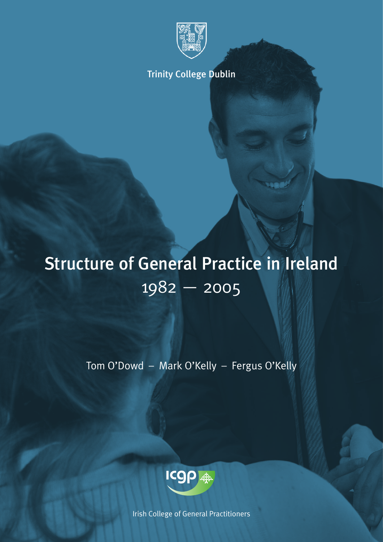

Trinity College Dublin

# Structure of General Practice in Ireland 1982 — 2005

Tom O'Dowd – Mark O'Kelly – Fergus O'Kelly



Irish College of General Practitioners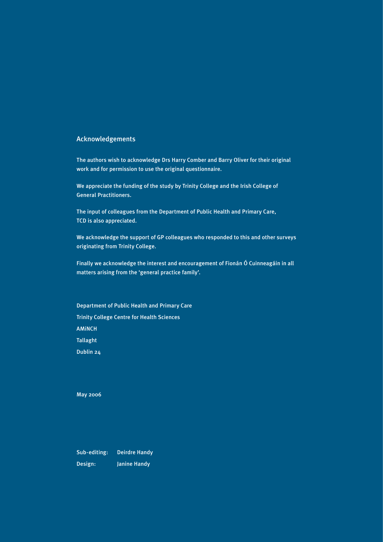#### Acknowledgements

The authors wish to acknowledge Drs Harry Comber and Barry Oliver for their original work and for permission to use the original questionnaire.

We appreciate the funding of the study by Trinity College and the Irish College of General Practitioners.

The input of colleagues from the Department of Public Health and Primary Care, TCD is also appreciated.

We acknowledge the support of GP colleagues who responded to this and other surveys originating from Trinity College.

Finally we acknowledge the interest and encouragement of Fionán Ó Cuinneagáin in all matters arising from the 'general practice family'.

Department of Public Health and Primary Care Trinity College Centre for Health Sciences AMiNCH **Tallaght** Dublin 24

May 2006

Sub-editing: Deirdre Handy Design: Janine Handy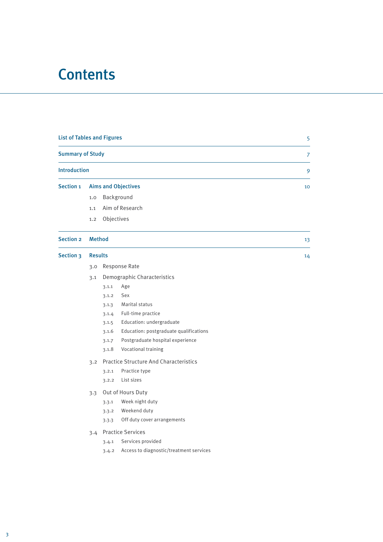# **Contents**

| <b>List of Tables and Figures</b> |                |                            |                                               | 5  |
|-----------------------------------|----------------|----------------------------|-----------------------------------------------|----|
| <b>Summary of Study</b>           |                |                            |                                               | 7  |
| <b>Introduction</b>               |                |                            |                                               | 9  |
| <b>Section 1</b>                  |                | <b>Aims and Objectives</b> | 10                                            |    |
|                                   | 1.0            |                            | Background                                    |    |
|                                   | 1.1            |                            | Aim of Research                               |    |
|                                   | 1.2            | Objectives                 |                                               |    |
| <b>Section 2</b>                  | <b>Method</b>  |                            |                                               | 13 |
| <b>Section 3</b>                  | <b>Results</b> |                            |                                               | 14 |
|                                   | 3.0            |                            | Response Rate                                 |    |
|                                   | 3.1            |                            | Demographic Characteristics                   |    |
|                                   |                | 3.1.1                      | Age                                           |    |
|                                   |                | 3.1.2                      | Sex                                           |    |
|                                   |                | 3.1.3                      | Marital status                                |    |
|                                   |                | 3.1.4                      | Full-time practice                            |    |
|                                   |                | 3.1.5                      | Education: undergraduate                      |    |
|                                   |                | 3.1.6                      | Education: postgraduate qualifications        |    |
|                                   |                | 3.1.7                      | Postgraduate hospital experience              |    |
|                                   |                | 3.1.8                      | Vocational training                           |    |
|                                   | 3.2            |                            | <b>Practice Structure And Characteristics</b> |    |
|                                   |                | 3.2.1                      | Practice type                                 |    |
|                                   |                | 3.2.2                      | List sizes                                    |    |
|                                   | 3.3            |                            | Out of Hours Duty                             |    |
|                                   |                | 3.3.1                      | Week night duty                               |    |
|                                   |                | 3.3.2                      | Weekend duty                                  |    |
|                                   |                | 3.3.3                      | Off duty cover arrangements                   |    |
|                                   |                |                            | 3.4 Practice Services                         |    |
|                                   |                | 3.4.1                      | Services provided                             |    |
|                                   |                |                            | 3.4.2 Access to diagnostic/treatment services |    |
|                                   |                |                            |                                               |    |
|                                   |                |                            |                                               |    |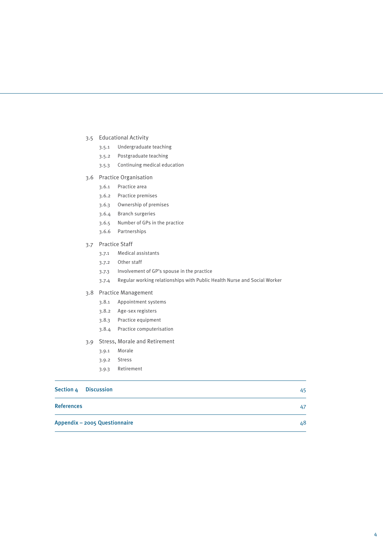- 3.5 Educational Activity
	- 3.5.1 Undergraduate teaching
	- 3.5.2 Postgraduate teaching
	- 3.5.3 Continuing medical education
- 3.6 Practice Organisation
	- 3.6.1 Practice area
	- 3.6.2 Practice premises
	- 3.6.3 Ownership of premises
	- 3.6.4 Branch surgeries
	- 3.6.5 Number of GPs in the practice
	- 3.6.6 Partnerships
- 3.7 Practice Staff
	- 3.7.1 Medical assistants
	- 3.7.2 Other staff
	- 3.7.3 Involvement of GP's spouse in the practice
	- 3.7.4 Regular working relationships with Public Health Nurse and Social Worker

#### 3.8 Practice Management

- 3.8.1 Appointment systems
- 3.8.2 Age-sex registers
- 3.8.3 Practice equipment
- 3.8.4 Practice computerisation
- 3.9 Stress, Morale and Retirement
	- 3.9.1 Morale
	- 3.9.2 Stress
	- 3.9.3 Retirement

| Section 4 Discussion |                               | 45 |
|----------------------|-------------------------------|----|
| <b>References</b>    |                               | 47 |
|                      | Appendix - 2005 Questionnaire | 48 |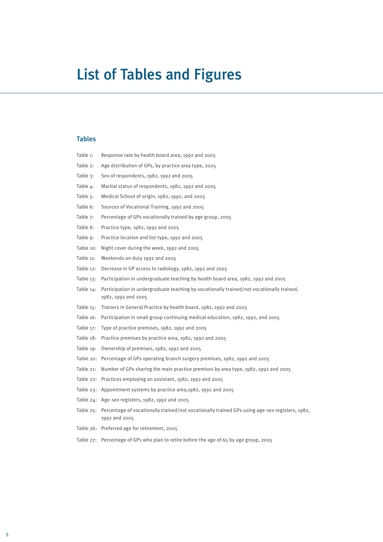# List of Tables and Figures

### Tables

| Table 1:     | Response rate by health board area, 1992 and 2005                                                                         |
|--------------|---------------------------------------------------------------------------------------------------------------------------|
| Table 2:     | Age distribution of GPs, by practice area type, 2005                                                                      |
| Table $3:$   | Sex of respondents, 1982, 1992 and 2005                                                                                   |
| Table 4:     | Marital status of respondents, 1982, 1992 and 2005                                                                        |
| Table $5:$   | Medical School of origin, 1982, 1992, and 2005                                                                            |
| Table 6:     | Sources of Vocational Training, 1992 and 2005                                                                             |
| Table 7:     | Percentage of GPs vocationally trained by age group, 2005                                                                 |
| Table 8:     | Practice type, 1982, 1992 and 2005                                                                                        |
| Table 9:     | Practice location and list type, 1992 and 2005                                                                            |
| Table 10:    | Night cover during the week, 1992 and 2005                                                                                |
| Table 11:    | Weekends on duty 1992 and 2005                                                                                            |
| Table 12:    | Decrease in GP access to radiology, 1982, 1992 and 2005                                                                   |
| Table 13:    | Participation in undergraduate teaching by health board area, 1982, 1992 and 2005                                         |
| Table 14:    | Participation in undergraduate teaching by vocationally trained/not vocationally trained,<br>1982, 1992 and 2005          |
| Table $15$ : | Trainers in General Practice by health board, 1982, 1992 and 2005                                                         |
| Table 16:    | Participation in small group continuing medical education, 1982, 1992, and 2005                                           |
| Table 17:    | Type of practice premises, 1982, 1992 and 2005                                                                            |
|              | Table 18: Practice premises by practice area, 1982, 1992 and 2005                                                         |
|              | Table 19: Ownership of premises, 1982, 1992 and 2005                                                                      |
|              | Table 20: Percentage of GPs operating branch surgery premises, 1982, 1992 and 2005                                        |
| Table 21:    | Number of GPs sharing the main practice premises by area type, 1982, 1992 and 2005                                        |
|              | Table 22: Practices employing an assistant, 1982, 1992 and 2005                                                           |
|              | Table 23: Appointment systems by practice area, 1982, 1992 and 2005                                                       |
|              | Table 24: Age-sex registers, 1982, 1992 and 2005                                                                          |
|              | Table 25: Percentage of vocationally trained/not vocationally trained GPs using age-sex registers, 1982,<br>1992 and 2005 |
|              | Table 26: Preferred age for retirement, 2005                                                                              |
|              | Table 27: Percentage of GPs who plan to retire before the age of 65 by age group, 2005                                    |
|              |                                                                                                                           |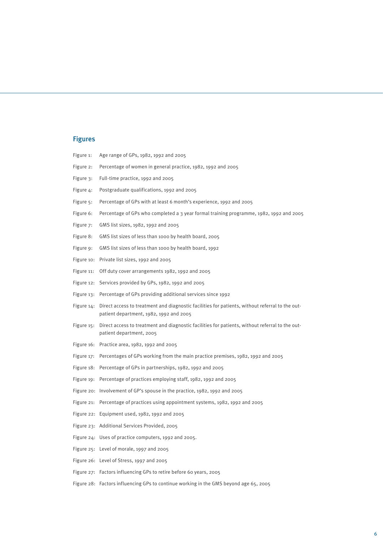# **Figures**

| Figure 1:  | Age range of GPs, 1982, 1992 and 2005                                                                                                      |
|------------|--------------------------------------------------------------------------------------------------------------------------------------------|
| Figure 2:  | Percentage of women in general practice, 1982, 1992 and 2005                                                                               |
| Figure 3:  | Full-time practice, 1992 and 2005                                                                                                          |
| Figure 4:  | Postgraduate qualifications, 1992 and 2005                                                                                                 |
| Figure 5:  | Percentage of GPs with at least 6 month's experience, 1992 and 2005                                                                        |
| Figure 6:  | Percentage of GPs who completed a 3 year formal training programme, 1982, 1992 and 2005                                                    |
| Figure 7:  | GMS list sizes, 1982, 1992 and 2005                                                                                                        |
| Figure 8:  | GMS list sizes of less than 1000 by health board, 2005                                                                                     |
| Figure 9:  | GMS list sizes of less than 1000 by health board, 1992                                                                                     |
| Figure 10: | Private list sizes, 1992 and 2005                                                                                                          |
| Figure 11: | Off duty cover arrangements 1982, 1992 and 2005                                                                                            |
| Figure 12: | Services provided by GPs, 1982, 1992 and 2005                                                                                              |
|            | Figure 13: Percentage of GPs providing additional services since 1992                                                                      |
| Figure 14: | Direct access to treatment and diagnostic facilities for patients, without referral to the out-<br>patient department, 1982, 1992 and 2005 |
| Figure 15: | Direct access to treatment and diagnostic facilities for patients, without referral to the out-<br>patient department, 2005                |
|            | Figure 16: Practice area, 1982, 1992 and 2005                                                                                              |
|            | Figure 17: Percentages of GPs working from the main practice premises, 1982, 1992 and 2005                                                 |
|            | Figure 18: Percentage of GPs in partnerships, 1982, 1992 and 2005                                                                          |
|            | Figure 19: Percentage of practices employing staff, 1982, 1992 and 2005                                                                    |
|            | Figure 20: Involvement of GP's spouse in the practice, 1982, 1992 and 2005                                                                 |
|            | Figure 21: Percentage of practices using appointment systems, 1982, 1992 and 2005                                                          |
|            | Figure 22: Equipment used, 1982, 1992 and 2005                                                                                             |
|            | Figure 23: Additional Services Provided, 2005                                                                                              |
|            | Figure 24: Uses of practice computers, 1992 and 2005.                                                                                      |
|            | Figure 25: Level of morale, 1997 and 2005                                                                                                  |
|            | Figure 26: Level of Stress, 1997 and 2005                                                                                                  |
|            | Figure 27: Factors influencing GPs to retire before 60 years, 2005                                                                         |
|            | Figure 28: Factors influencing GPs to continue working in the GMS beyond age 65, 2005                                                      |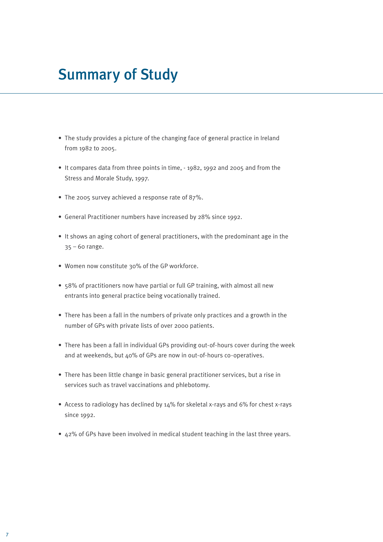# Summary of Study

- The study provides a picture of the changing face of general practice in Ireland from 1982 to 2005.
- It compares data from three points in time, 1982, 1992 and 2005 and from the Stress and Morale Study, 1997.
- The 2005 survey achieved a response rate of 87%.
- General Practitioner numbers have increased by 28% since 1992.
- It shows an aging cohort of general practitioners, with the predominant age in the  $35 - 60$  range.
- Women now constitute 30% of the GP workforce.
- 58% of practitioners now have partial or full GP training, with almost all new entrants into general practice being vocationally trained.
- There has been a fall in the numbers of private only practices and a growth in the number of GPs with private lists of over 2000 patients.
- There has been a fall in individual GPs providing out-of-hours cover during the week and at weekends, but 40% of GPs are now in out-of-hours co-operatives.
- There has been little change in basic general practitioner services, but a rise in services such as travel vaccinations and phlebotomy.
- Access to radiology has declined by 14% for skeletal x-rays and 6% for chest x-rays since 1992.
- 42% of GPs have been involved in medical student teaching in the last three years.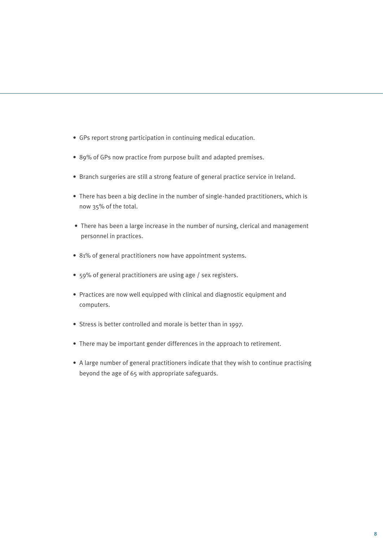- GPs report strong participation in continuing medical education.
- 89% of GPs now practice from purpose built and adapted premises.
- Branch surgeries are still a strong feature of general practice service in Ireland.
- There has been a big decline in the number of single-handed practitioners, which is now 35% of the total.
- There has been a large increase in the number of nursing, clerical and management personnel in practices.
- 81% of general practitioners now have appointment systems.
- 59% of general practitioners are using age / sex registers.
- Practices are now well equipped with clinical and diagnostic equipment and computers.
- Stress is better controlled and morale is better than in 1997.
- There may be important gender differences in the approach to retirement.
- A large number of general practitioners indicate that they wish to continue practising beyond the age of 65 with appropriate safeguards.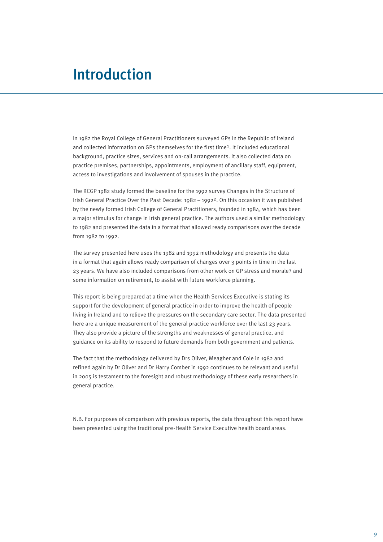# Introduction

In 1982 the Royal College of General Practitioners surveyed GPs in the Republic of Ireland and collected information on GPs themselves for the first time1. It included educational background, practice sizes, services and on-call arrangements. It also collected data on practice premises, partnerships, appointments, employment of ancillary staff, equipment, access to investigations and involvement of spouses in the practice.

The RCGP 1982 study formed the baseline for the 1992 survey Changes in the Structure of Irish General Practice Over the Past Decade: 1982 – 19922. On this occasion it was published by the newly formed Irish College of General Practitioners, founded in 1984, which has been a major stimulus for change in Irish general practice. The authors used a similar methodology to 1982 and presented the data in a format that allowed ready comparisons over the decade from 1982 to 1992.

The survey presented here uses the 1982 and 1992 methodology and presents the data in a format that again allows ready comparison of changes over 3 points in time in the last 23 years. We have also included comparisons from other work on GP stress and morale3 and some information on retirement, to assist with future workforce planning.

This report is being prepared at a time when the Health Services Executive is stating its support for the development of general practice in order to improve the health of people living in Ireland and to relieve the pressures on the secondary care sector. The data presented here are a unique measurement of the general practice workforce over the last 23 years. They also provide a picture of the strengths and weaknesses of general practice, and guidance on its ability to respond to future demands from both government and patients.

The fact that the methodology delivered by Drs Oliver, Meagher and Cole in 1982 and refined again by Dr Oliver and Dr Harry Comber in 1992 continues to be relevant and useful in 2005 is testament to the foresight and robust methodology of these early researchers in general practice.

N.B. For purposes of comparison with previous reports, the data throughout this report have been presented using the traditional pre-Health Service Executive health board areas.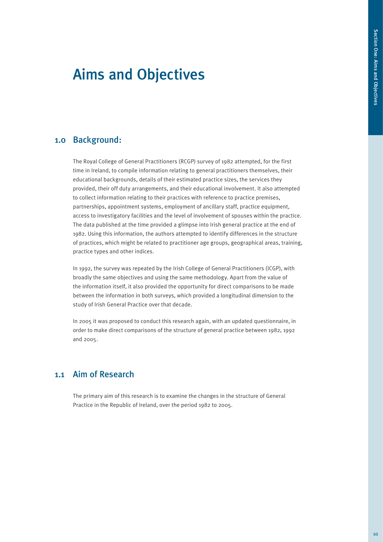# Aims and Objectives

## 1.0 Background:

The Royal College of General Practitioners (RCGP) survey of 1982 attempted, for the first time in Ireland, to compile information relating to general practitioners themselves, their educational backgrounds, details of their estimated practice sizes, the services they provided, their off duty arrangements, and their educational involvement. It also attempted to collect information relating to their practices with reference to practice premises, partnerships, appointment systems, employment of ancillary staff, practice equipment, access to investigatory facilities and the level of involvement of spouses within the practice. The data published at the time provided a glimpse into Irish general practice at the end of 1982. Using this information, the authors attempted to identify differences in the structure of practices, which might be related to practitioner age groups, geographical areas, training, practice types and other indices.

In 1992, the survey was repeated by the Irish College of General Practitioners (ICGP), with broadly the same objectives and using the same methodology. Apart from the value of the information itself, it also provided the opportunity for direct comparisons to be made between the information in both surveys, which provided a longitudinal dimension to the study of Irish General Practice over that decade.

In 2005 it was proposed to conduct this research again, with an updated questionnaire, in order to make direct comparisons of the structure of general practice between 1982, 1992 and 2005.

## 1.1 Aim of Research

The primary aim of this research is to examine the changes in the structure of General Practice in the Republic of Ireland, over the period 1982 to 2005.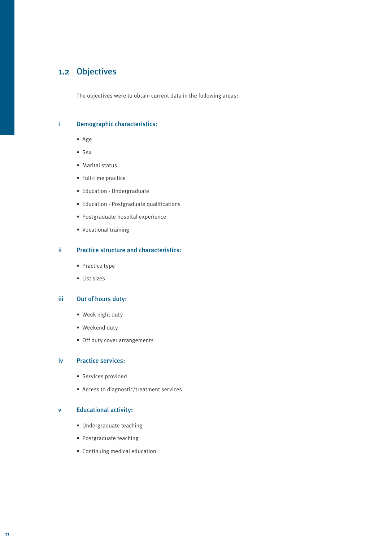## 1.2 Objectives

The objectives were to obtain current data in the following areas:

#### i Demographic characteristics:

- Age
- Sex
- Marital status
- Full-time practice
- Education Undergraduate
- Education Postgraduate qualifications
- Postgraduate hospital experience
- Vocational training

#### ii Practice structure and characteristics:

- Practice type
- List sizes

#### iii Out of hours duty:

- Week night duty
- Weekend duty
- Off duty cover arrangements

#### iv Practice services:

- Services provided
- Access to diagnostic/treatment services

#### v Educational activity:

- Undergraduate teaching
- Postgraduate teaching
- Continuing medical education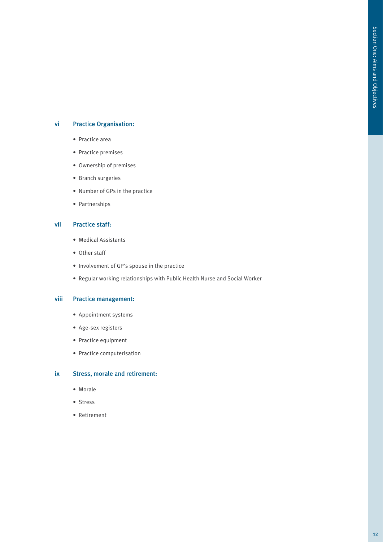#### vi Practice Organisation:

- Practice area
- Practice premises
- Ownership of premises
- Branch surgeries
- Number of GPs in the practice
- Partnerships

#### vii Practice staff:

- Medical Assistants
- Other staff
- Involvement of GP's spouse in the practice
- Regular working relationships with Public Health Nurse and Social Worker

#### viii Practice management:

- Appointment systems
- Age-sex registers
- Practice equipment
- Practice computerisation

#### ix Stress, morale and retirement:

- Morale
- Stress
- Retirement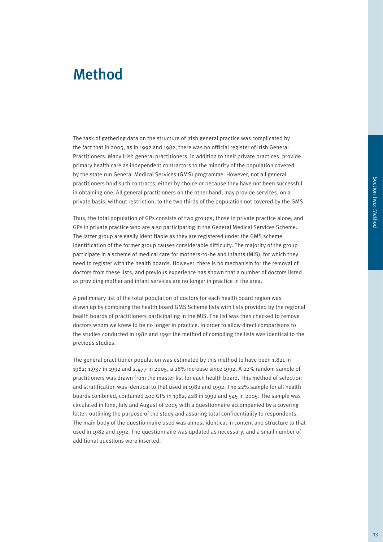# Method

The task of gathering data on the structure of Irish general practice was complicated by the fact that in 2005, as in 1992 and 1982, there was no official register of Irish General Practitioners. Many Irish general practitioners, in addition to their private practices, provide primary health care as independent contractors to the minority of the population covered by the state run General Medical Services (GMS) programme. However, not all general practitioners hold such contracts, either by choice or because they have not been successful in obtaining one. All general practitioners on the other hand, may provide services, on a private basis, without restriction, to the two thirds of the population not covered by the GMS.

Thus, the total population of GPs consists of two groups; those in private practice alone, and GPs in private practice who are also participating in the General Medical Services Scheme. The latter group are easily identifiable as they are registered under the GMS scheme. Identification of the former group causes considerable difficulty. The majority of the group participate in a scheme of medical care for mothers-to-be and infants (MIS), for which they need to register with the health boards. However, there is no mechanism for the removal of doctors from these lists, and previous experience has shown that a number of doctors listed as providing mother and infant services are no longer in practice in the area.

A preliminary list of the total population of doctors for each health board region was drawn up by combining the health board GMS Scheme lists with lists provided by the regional health boards of practitioners participating in the MIS. The list was then checked to remove doctors whom we knew to be no longer in practice. In order to allow direct comparisons to the studies conducted in 1982 and 1992 the method of compiling the lists was identical to the previous studies.

The general practitioner population was estimated by this method to have been 1,821 in 1982; 1,937 in 1992 and 2,477 in 2005, a 28% increase since 1992. A 22% random sample of practitioners was drawn from the master list for each health board. This method of selection and stratification was identical to that used in 1982 and 1992. The 22% sample for all health boards combined, contained 400 GPs in 1982, 428 in 1992 and 545 in 2005. The sample was circulated in June, July and August of 2005 with a questionnaire accompanied by a covering letter, outlining the purpose of the study and assuring total confidentiality to respondents. The main body of the questionnaire used was almost identical in content and structure to that used in 1982 and 1992. The questionnaire was updated as necessary, and a small number of additional questions were inserted.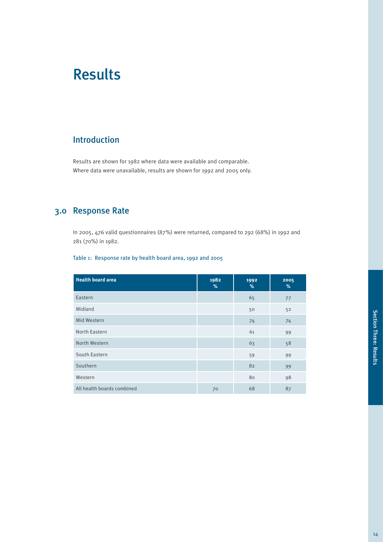# Results

## Introduction

Results are shown for 1982 where data were available and comparable. Where data were unavailable, results are shown for 1992 and 2005 only.

## 3.0 Response Rate

In 2005, 476 valid questionnaires (87%) were returned, compared to 292 (68%) in 1992 and 281 (70%) in 1982.

#### Table 1: Response rate by health board area, 1992 and 2005

| <b>Health board area</b>   | 1982<br>% | 1992<br>% | 2005<br>$\%$ |
|----------------------------|-----------|-----------|--------------|
| Eastern                    |           | 65        | 77           |
| Midland                    |           | 50        | 52           |
| Mid Western                |           | 74        | 74           |
| North Eastern              |           | 61        | 99           |
| North Western              |           | 63        | 58           |
| South Eastern              |           | 59        | 99           |
| Southern                   |           | 82        | 99           |
| Western                    |           | 80        | 98           |
| All health boards combined | 70        | 68        | 87           |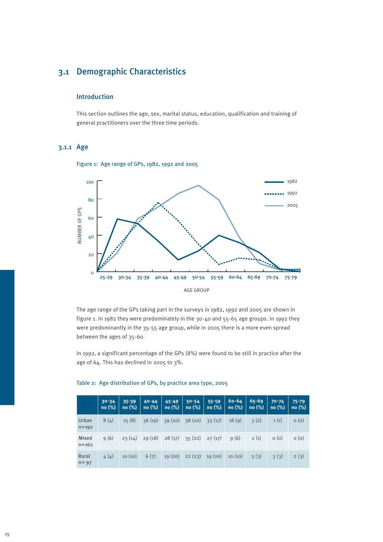## 3.1 Demographic Characteristics

#### Introduction

This section outlines the age, sex, marital status, education, qualification and training of general practitioners over the three time periods.

### 3.1.1 Age





The age range of the GPs taking part in the surveys in 1982, 1992 and 2005 are shown in figure 1. In 1982 they were predominately in the 30-40 and 55-65 age groups. In 1992 they were predominantly in the 35-55 age group, while in 2005 there is a more even spread between the ages of 35-60.

In 1992, a significant percentage of the GPs (8%) were found to be still in practice after the age of 64. This has declined in 2005 to 3%.

|                    | $30 - 34$<br>no(%) | $35 - 39$<br>no(%) | $40 - 44$<br>no(%) | $45 - 49$<br>no(%) | $50 - 54$<br>no(%) | $55 - 59$<br>no(%) | $60 - 64$<br>no(%) | $65 - 69$<br>no(%) | $70 - 74$<br>no(%) | $75 - 79$<br>no (%) |
|--------------------|--------------------|--------------------|--------------------|--------------------|--------------------|--------------------|--------------------|--------------------|--------------------|---------------------|
| Urban<br>$n = 192$ | 8(4)               | 15(8)              | 36(19)             | 39(20)             | 38(20)             | 33(17)             | 18(9)              | 3(2)               | 1(1)               | O(0)                |
| Mixed<br>$n = 162$ | 9(6)               | 23(14)             | 29(18)             | 28(17)             | 35(22)             | 27(17)             | 9(6)               | 2(1)               | O(0)               | O(0)                |
| Rural<br>$n = 97$  | 4(4)               | 10(10)             | 6(7)               | 19(20)             | 22(23)             | 19(20)             | 10(10)             | 3(3)               | 3(3)               | 2(3)                |

#### Table 2: Age distribution of GPs, by practice area type, 2005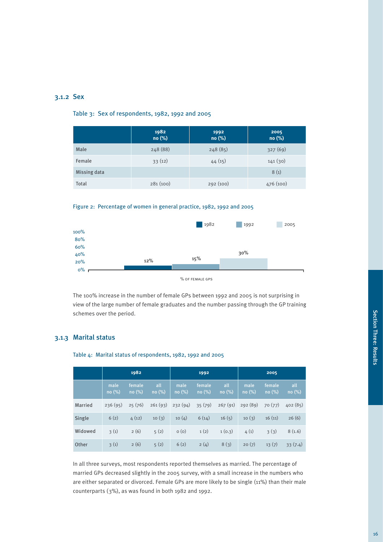#### 3.1.2 Sex

#### Table 3: Sex of respondents, 1982, 1992 and 2005

|              | 1982<br>no (%) | 1992<br>no (%) | 2005<br>no (%) |
|--------------|----------------|----------------|----------------|
| Male         | 248 (88)       | 248(85)        | 327(69)        |
| Female       | 33(12)         | 44(15)         | 141(30)        |
| Missing data |                |                | 8(1)           |
| Total        | 281(100)       | 292(100)       | 476 (100)      |





The 100% increase in the number of female GPs between 1992 and 2005 is not surprising in view of the large number of female graduates and the number passing through the GP training schemes over the period.

#### 3.1.3 Marital status

Table 4: Marital status of respondents, 1982, 1992 and 2005

|                | 1982           |                 |              |               | 1992            |              | 2005          |                 |              |
|----------------|----------------|-----------------|--------------|---------------|-----------------|--------------|---------------|-----------------|--------------|
|                | male<br>no (%) | female<br>no(%) | all<br>no(%) | male<br>no(%) | female<br>no(%) | all<br>no(%) | male<br>no(%) | female<br>no(%) | all<br>no(%) |
| <b>Married</b> | 236(95)        | 25(76)          | 261(93)      | 232(94)       | 35(79)          | 267(91)      | 292(89)       | 70(77)          | 402(85)      |
| Single         | 6(2)           | 4(12)           | 10(3)        | 10(4)         | 6(14)           | 16(5)        | 10(3)         | 16(11)          | 26(6)        |
| Widowed        | 3(1)           | 2(6)            | 5(2)         | O(0)          | 1(2)            | 1(0.3)       | 4(1)          | 3(3)            | 8(1.6)       |
| Other          | 3(1)           | 2(6)            | 5(2)         | 6(2)          | 2(4)            | 8(3)         | 20(7)         | 13(7)           | 33(7.4)      |

In all three surveys, most respondents reported themselves as married. The percentage of married GPs decreased slightly in the 2005 survey, with a small increase in the numbers who are either separated or divorced. Female GPs are more likely to be single (11%) than their male counterparts (3%), as was found in both 1982 and 1992.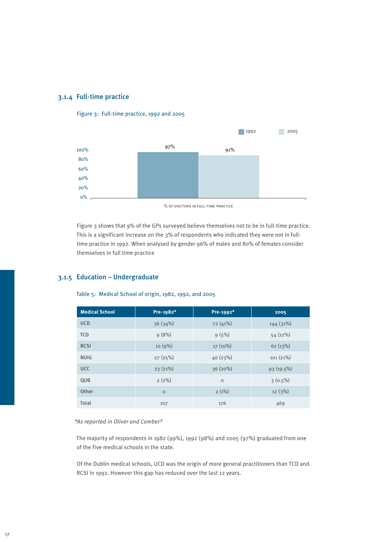#### 3.1.4 Full-time practice



Figure 3: Full-time practice, 1992 and 2005

% of doctors in full-time practice

Figure 3 shows that 9% of the GPs surveyed believe themselves not to be in full-time practice. This is a significant increase on the 3% of respondents who indicated they were not in fulltime practice in 1992. When analysed by gender 96% of males and 80% of females consider themselves in full time practice

#### 3.1.5 Education – Undergraduate

Table 5: Medical School of origin, 1982, 1992, and 2005

| <b>Medical School</b> | Pre-1982* | Pre-1992* | 2005       |
|-----------------------|-----------|-----------|------------|
| <b>UCD</b>            | 36(34%)   | 72(41%)   | 144(31%)   |
| <b>TCD</b>            | 9(8%)     | 9(5%)     | 54(12%)    |
| <b>RCSI</b>           | 10(9%)    | 17 (10%)  | 62(13%)    |
| <b>NUIG</b>           | 27(25%)   | 40(23%)   | 101(21%)   |
| <b>UCC</b>            | 23(21%)   | 36(20%)   | 93 (19.5%) |
| QUB                   | $2(2\%)$  | $\circ$   | $3(0.5\%)$ |
| Other                 | $\circ$   | $2(1\%)$  | 12(3%)     |
| Total                 | 107       | 176       | 469        |

#### *\*As reported in Oliver and Comber2*

The majority of respondents in 1982 (99%), 1992 (98%) and 2005 (97%) graduated from one of the five medical schools in the state.

Of the Dublin medical schools, UCD was the origin of more general practitioners than TCD and RCSI in 1992. However this gap has reduced over the last 12 years.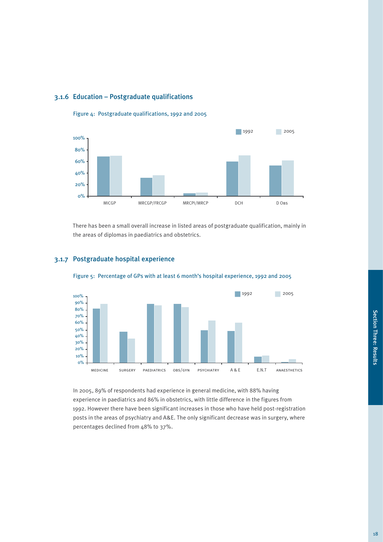### 3.1.6 Education – Postgraduate qualifications



Figure 4: Postgraduate qualifications, 1992 and 2005

There has been a small overall increase in listed areas of postgraduate qualification, mainly in the areas of diplomas in paediatrics and obstetrics.

Figure 5: Percentage of GPs with at least 6 month's hospital experience, 1992 and 2005



#### 3.1.7 Postgraduate hospital experience

In 2005, 89% of respondents had experience in general medicine, with 88% having experience in paediatrics and 86% in obstetrics, with little difference in the figures from 1992. However there have been significant increases in those who have held post-registration posts in the areas of psychiatry and A&E. The only significant decrease was in surgery, where percentages declined from 48% to 37%.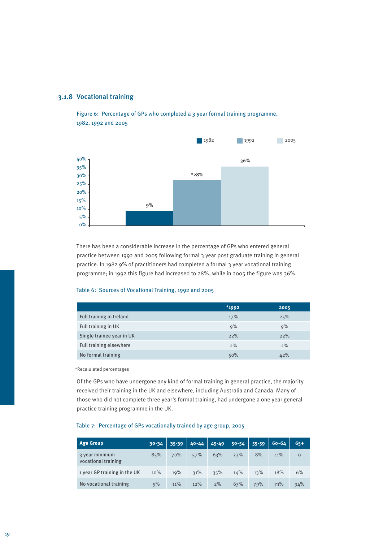

Figure 6: Percentage of GPs who completed a 3 year formal training programme, 1982, 1992 and 2005



There has been a considerable increase in the percentage of GPs who entered general practice between 1992 and 2005 following formal 3 year post graduate training in general practice. In 1982 9% of practitioners had completed a formal 3 year vocational training programme; in 1992 this figure had increased to 28%, while in 2005 the figure was 36%.

#### Table 6: Sources of Vocational Training, 1992 and 2005

|                                | $*$ 1992 | 2005 |
|--------------------------------|----------|------|
| Full training in Ireland       | 17%      | 25%  |
| Full training in UK            | 9%       | 9%   |
| Single trainee year in UK      | 22%      | 22%  |
| <b>Full training elsewhere</b> | 2%       | 2%   |
| No formal training             | 50%      | 42%  |

\*Recalulated percentages

Of the GPs who have undergone any kind of formal training in general practice, the majority received their training in the UK and elsewhere, including Australia and Canada. Many of those who did not complete three year's formal training, had undergone a one year general practice training programme in the UK.

### **Age Group 30-34 35-39 40-44 45-49 50-54 55-59 60-64 65+** 3 year minimum vocational training 85% 70% 57% 63% 23% 8% 11% 0 1 year GP training in the UK 10% 19% 31% 35% 14% 13% 18% 6% No vocational training 5% 11% 12% 2% 63% 79% 71% 94%

#### Table 7: Percentage of GPs vocationally trained by age group, 2005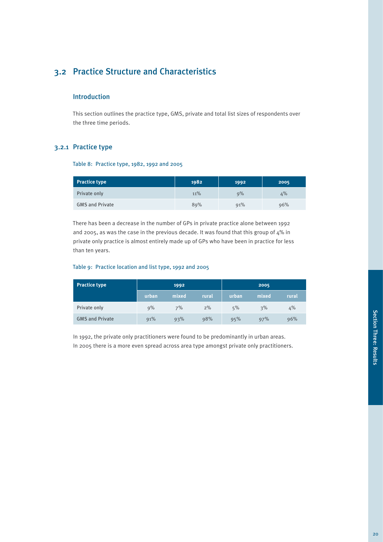## 3.2 Practice Structure and Characteristics

#### Introduction

This section outlines the practice type, GMS, private and total list sizes of respondents over the three time periods.

#### 3.2.1 Practice type

#### Table 8: Practice type, 1982, 1992 and 2005

| <b>Practice type</b>   | 1982 | 1992 | 2005 |
|------------------------|------|------|------|
| Private only           | 11%  | 9%   | 4%   |
| <b>GMS and Private</b> | 89%  | 91%  | 96%  |

There has been a decrease in the number of GPs in private practice alone between 1992 and 2005, as was the case in the previous decade. It was found that this group of 4% in private only practice is almost entirely made up of GPs who have been in practice for less than ten years.

#### Table 9: Practice location and list type, 1992 and 2005

| <b>Practice type</b>   |       | 1992  |       |       | 2005  |       |
|------------------------|-------|-------|-------|-------|-------|-------|
|                        | urban | mixed | rural | urban | mixed | rural |
| Private only           | 9%    | 7%    | 2%    | 5%    | 3%    | 4%    |
| <b>GMS and Private</b> | 91%   | 93%   | 98%   | 95%   | 97%   | 96%   |

In 1992, the private only practitioners were found to be predominantly in urban areas. In 2005 there is a more even spread across area type amongst private only practitioners.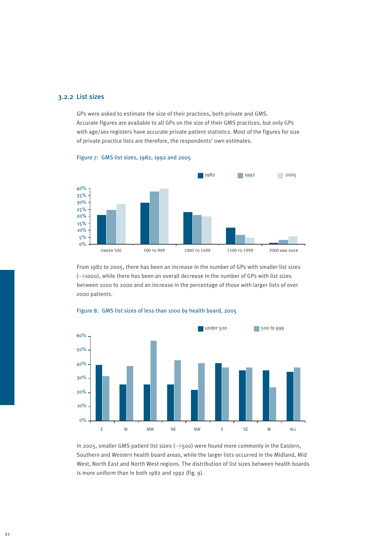#### 3.2.2 List sizes

GPs were asked to estimate the size of their practices, both private and GMS. Accurate figures are available to all GPs on the size of their GMS practices, but only GPs with age/sex registers have accurate private patient statistics. Most of the figures for size of private practice lists are therefore, the respondents' own estimates.



#### Figure 7: GMS list sizes, 1982, 1992 and 2005

From 1982 to 2005, there has been an increase in the number of GPs with smaller list sizes (>1000), while there has been an overall decrease in the number of GPs with list sizes between 1000 to 2000 and an increase in the percentage of those with larger lists of over 2000 patients.



#### Figure 8: GMS list sizes of less than 1000 by health board, 2005

In 2005, smaller GMS patient list sizes (---->>500) were found more commonly in the Eastern, Southern and Western health board areas, while the larger lists occurred in the Midland, Mid West, North East and North West regions. The distribution of list sizes between health boards is more uniform than in both 1982 and 1992 (fig. 9).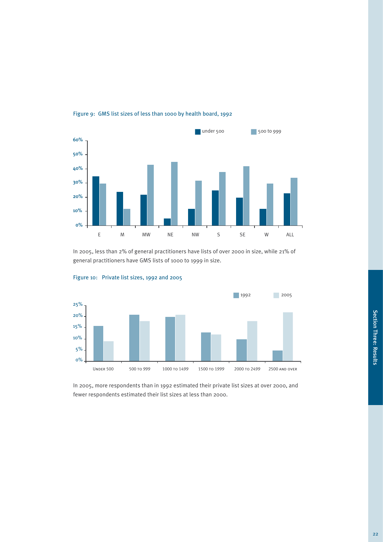

Figure 9: GMS list sizes of less than 1000 by health board, 1992

In 2005, less than 2% of general practitioners have lists of over 2000 in size, while 21% of general practitioners have GMS lists of 1000 to 1999 in size.





In 2005, more respondents than in 1992 estimated their private list sizes at over 2000, and fewer respondents estimated their list sizes at less than 2000.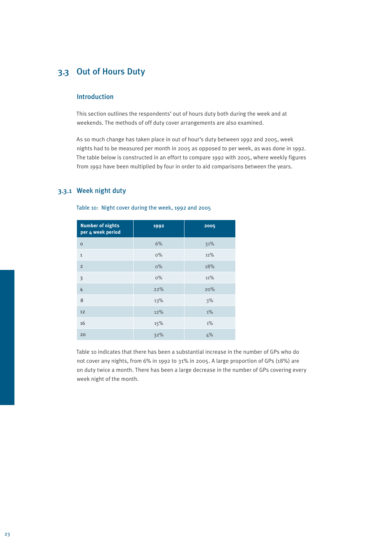## 3.3 Out of Hours Duty

#### Introduction

This section outlines the respondents' out of hours duty both during the week and at weekends. The methods of off duty cover arrangements are also examined.

As so much change has taken place in out of hour's duty between 1992 and 2005, week nights had to be measured per month in 2005 as opposed to per week, as was done in 1992. The table below is constructed in an effort to compare 1992 with 2005, where weekly figures from 1992 have been multiplied by four in order to aid comparisons between the years.

#### 3.3.1 Week night duty

Table 10: Night cover during the week, 1992 and 2005

| <b>Number of nights</b><br>per 4 week period | 1992  | 2005  |
|----------------------------------------------|-------|-------|
| $\mathbf 0$                                  | 6%    | 31%   |
| $\mathbf{1}$                                 | $0\%$ | 11%   |
| $\overline{2}$                               | $0\%$ | 18%   |
| 3                                            | $0\%$ | 11%   |
| 4                                            | 22%   | 20%   |
| 8                                            | 13%   | 3%    |
| 12                                           | 12%   | $1\%$ |
| 16                                           | 15%   | $1\%$ |
| 20                                           | 32%   | 4%    |

Table 10 indicates that there has been a substantial increase in the number of GPs who do not cover any nights, from 6% in 1992 to 31% in 2005. A large proportion of GPs (18%) are on duty twice a month. There has been a large decrease in the number of GPs covering every week night of the month.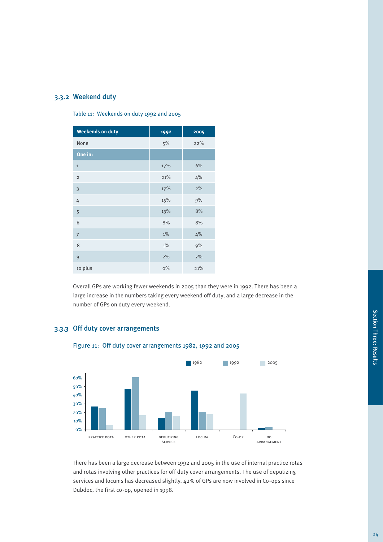### 3.3.2 Weekend duty

Table 11: Weekends on duty 1992 and 2005

| <b>Weekends on duty</b> | 1992  | 2005 |
|-------------------------|-------|------|
| None                    | 5%    | 22%  |
| One in:                 |       |      |
| $\mathbf 1$             | 17%   | 6%   |
| $\overline{2}$          | 21%   | 4%   |
| $\overline{\mathbf{3}}$ | 17%   | 2%   |
| 4                       | 15%   | 9%   |
| 5                       | 13%   | 8%   |
| 6                       | 8%    | 8%   |
| $\overline{7}$          | $1\%$ | 4%   |
| 8                       | $1\%$ | 9%   |
| 9                       | 2%    | 7%   |
| 10 plus                 | $0\%$ | 21%  |

Overall GPs are working fewer weekends in 2005 than they were in 1992. There has been a large increase in the numbers taking every weekend off duty, and a large decrease in the number of GPs on duty every weekend.

### 3.3.3 Off duty cover arrangements



Figure 11: Off duty cover arrangements 1982, 1992 and 2005

There has been a large decrease between 1992 and 2005 in the use of internal practice rotas and rotas involving other practices for off duty cover arrangements. The use of deputizing services and locums has decreased slightly. 42% of GPs are now involved in Co-ops since Dubdoc, the first co-op, opened in 1998.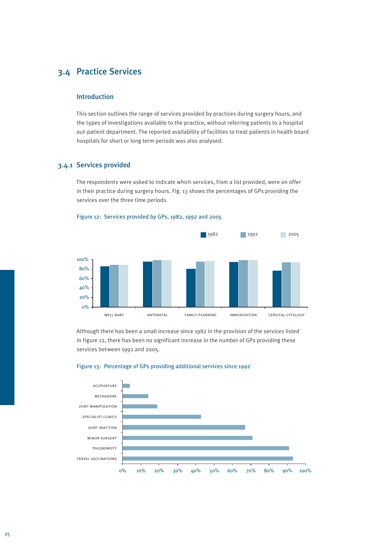## 3.4 Practice Services

#### Introduction

This section outlines the range of services provided by practices during surgery hours, and the types of investigations available to the practice, without referring patients to a hospital out-patient department. The reported availability of facilities to treat patients in health board hospitals for short or long term periods was also analysed.

#### 3.4.1 Services provided

The respondents were asked to indicate which services, from a list provided, were on offer in their practice during surgery hours. Fig. 13 shows the percentages of GPs providing the services over the three time periods.





Although there has been a small increase since 1982 in the provision of the services listed in figure 12, there has been no significant increase in the number of GPs providing these services between 1992 and 2005.



#### Figure 13: Percentage of GPs providing additional services since 1992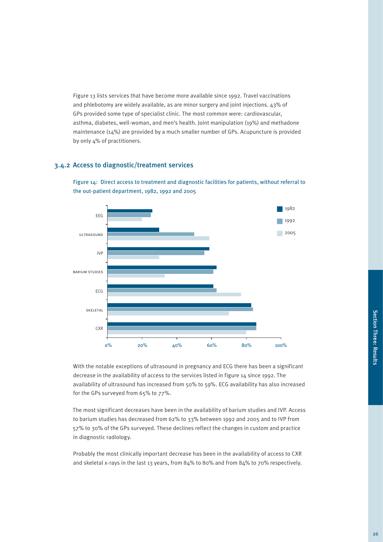Figure 13 lists services that have become more available since 1992. Travel vaccinations and phlebotomy are widely available, as are minor surgery and joint injections. 43% of GPs provided some type of specialist clinic. The most common were: cardiovascular, asthma, diabetes, well-woman, and men's health. Joint manipulation (19%) and methadone maintenance (14%) are provided by a much smaller number of GPs. Acupuncture is provided by only 4% of practitioners.

#### 3.4.2 Access to diagnostic/treatment services



Figure 14: Direct access to treatment and diagnostic facilities for patients, without referral to the out-patient department, 1982, 1992 and 2005

With the notable exceptions of ultrasound in pregnancy and ECG there has been a significant decrease in the availability of access to the services listed in figure 14 since 1992. The availability of ultrasound has increased from 50% to 59%. ECG availability has also increased for the GPs surveyed from 65% to 77%.

The most significant decreases have been in the availability of barium studies and IVP. Access to barium studies has decreased from 62% to 33% between 1992 and 2005 and to IVP from 57% to 30% of the GPs surveyed. These declines reflect the changes in custom and practice in diagnostic radiology.

Probably the most clinically important decrease has been in the availability of access to CXR and skeletal x-rays in the last 13 years, from 84% to 80% and from 84% to 70% respectively.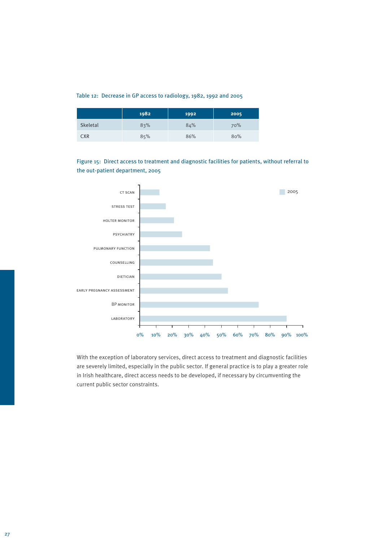#### Table 12: Decrease in GP access to radiology, 1982, 1992 and 2005

|            | 1982 | 1992 | 2005 |
|------------|------|------|------|
| Skeletal   | 83%  | 84%  | 70%  |
| <b>CXR</b> | 85%  | 86%  | 80%  |

Figure 15: Direct access to treatment and diagnostic facilities for patients, without referral to the out-patient department, 2005



With the exception of laboratory services, direct access to treatment and diagnostic facilities are severely limited, especially in the public sector. If general practice is to play a greater role in Irish healthcare, direct access needs to be developed, if necessary by circumventing the current public sector constraints.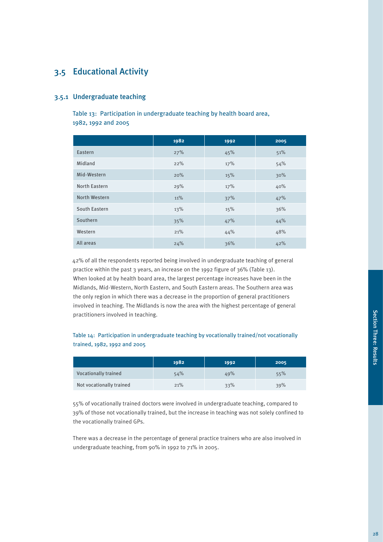## 3.5 Educational Activity

#### 3.5.1 Undergraduate teaching

Table 13: Participation in undergraduate teaching by health board area, 1982, 1992 and 2005

|                      | 1982 | 1992 | 2005 |
|----------------------|------|------|------|
| Eastern              | 27%  | 45%  | 51%  |
| Midland              | 22%  | 17%  | 54%  |
| Mid-Western          | 20%  | 15%  | 30%  |
| <b>North Eastern</b> | 29%  | 17%  | 40%  |
| North Western        | 11%  | 37%  | 47%  |
| South Eastern        | 13%  | 15%  | 36%  |
| Southern             | 35%  | 47%  | 44%  |
| Western              | 21%  | 44%  | 48%  |
| All areas            | 24%  | 36%  | 42%  |

42% of all the respondents reported being involved in undergraduate teaching of general practice within the past 3 years, an increase on the 1992 figure of 36% (Table 13). When looked at by health board area, the largest percentage increases have been in the Midlands, Mid-Western, North Eastern, and South Eastern areas. The Southern area was the only region in which there was a decrease in the proportion of general practitioners involved in teaching. The Midlands is now the area with the highest percentage of general practitioners involved in teaching.

#### Table 14: Participation in undergraduate teaching by vocationally trained/not vocationally trained, 1982, 1992 and 2005

|                             | 1982 | 1992 | 2005 |
|-----------------------------|------|------|------|
| <b>Vocationally trained</b> | 54%  | 49%  | 55%  |
| Not vocationally trained    | 21%  | 33%  | 39%  |

55% of vocationally trained doctors were involved in undergraduate teaching, compared to 39% of those not vocationally trained, but the increase in teaching was not solely confined to the vocationally trained GPs.

There was a decrease in the percentage of general practice trainers who are also involved in undergraduate teaching, from 90% in 1992 to 71% in 2005.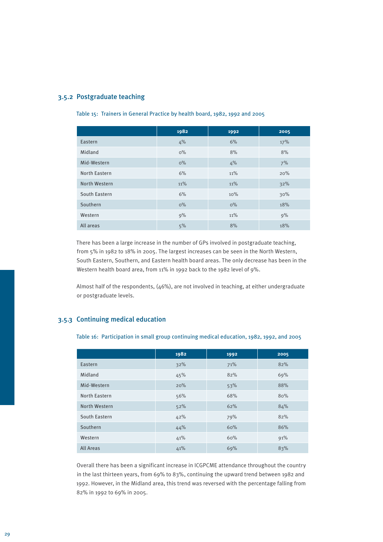#### 3.5.2 Postgraduate teaching

#### Table 15: Trainers in General Practice by health board, 1982, 1992 and 2005

|                      | 1982  | 1992  | 2005 |
|----------------------|-------|-------|------|
| Eastern              | 4%    | 6%    | 17%  |
| Midland              | $0\%$ | 8%    | 8%   |
| Mid-Western          | $0\%$ | 4%    | 7%   |
| <b>North Eastern</b> | 6%    | 11%   | 20%  |
| North Western        | 11%   | 11%   | 32%  |
| South Eastern        | 6%    | 10%   | 30%  |
| Southern             | $0\%$ | $0\%$ | 18%  |
| Western              | 9%    | 11%   | 9%   |
| All areas            | 5%    | 8%    | 18%  |

There has been a large increase in the number of GPs involved in postgraduate teaching, from 5% in 1982 to 18% in 2005. The largest increases can be seen in the North Western, South Eastern, Southern, and Eastern health board areas. The only decrease has been in the Western health board area, from 11% in 1992 back to the 1982 level of 9%.

Almost half of the respondents, (46%), are not involved in teaching, at either undergraduate or postgraduate levels.

#### 3.5.3 Continuing medical education

Table 16: Participation in small group continuing medical education, 1982, 1992, and 2005

|                  | 1982 | 1992 | 2005 |
|------------------|------|------|------|
| Eastern          | 32%  | 71%  | 82%  |
| Midland          | 45%  | 82%  | 69%  |
| Mid-Western      | 20%  | 53%  | 88%  |
| North Eastern    | 56%  | 68%  | 80%  |
| North Western    | 52%  | 62%  | 84%  |
| South Eastern    | 42%  | 79%  | 82%  |
| Southern         | 44%  | 60%  | 86%  |
| Western          | 41%  | 60%  | 91%  |
| <b>All Areas</b> | 41%  | 69%  | 83%  |

Overall there has been a significant increase in ICGPCME attendance throughout the country in the last thirteen years, from 69% to 83%, continuing the upward trend between 1982 and 1992. However, in the Midland area, this trend was reversed with the percentage falling from 82% in 1992 to 69% in 2005.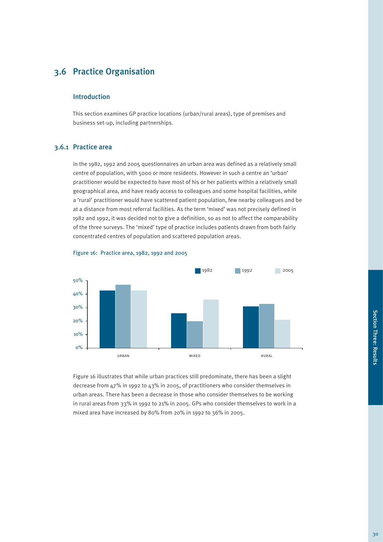## 3.6 Practice Organisation

#### Introduction

This section examines GP practice locations (urban/rural areas), type of premises and business set-up, including partnerships.

#### 3.6.1 Practice area

In the 1982, 1992 and 2005 questionnaires an urban area was defined as a relatively small centre of population, with 5000 or more residents. However in such a centre an 'urban' practitioner would be expected to have most of his or her patients within a relatively small geographical area, and have ready access to colleagues and some hospital facilities, while a 'rural' practitioner would have scattered patient population, few nearby colleagues and be at a distance from most referral facilities. As the term 'mixed' was not precisely defined in 1982 and 1992, it was decided not to give a definition, so as not to affect the comparability of the three surveys. The 'mixed' type of practice includes patients drawn from both fairly concentrated centres of population and scattered population areas.





Figure 16 illustrates that while urban practices still predominate, there has been a slight decrease from 47% in 1992 to 43% in 2005, of practitioners who consider themselves in urban areas. There has been a decrease in those who consider themselves to be working in rural areas from 33% in 1992 to 21% in 2005. GPs who consider themselves to work in a mixed area have increased by 80% from 20% in 1992 to 36% in 2005.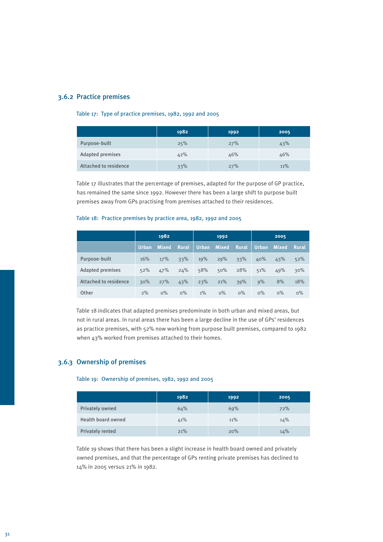#### 3.6.2 Practice premises

#### Table 17: Type of practice premises, 1982, 1992 and 2005

|                       | 1982 | 1992 | 2005 |
|-----------------------|------|------|------|
| Purpose-built         | 25%  | 27%  | 43%  |
| Adapted premises      | 42%  | 46%  | 46%  |
| Attached to residence | 33%  | 27%  | 11%  |

Table 17 illustrates that the percentage of premises, adapted for the purpose of GP practice, has remained the same since 1992. However there has been a large shift to purpose built premises away from GPs practising from premises attached to their residences.

#### Table 18: Practice premises by practice area, 1982, 1992 and 2005

|                         |       | 1982         |              |              | 1992         |              |              | 2005         |       |
|-------------------------|-------|--------------|--------------|--------------|--------------|--------------|--------------|--------------|-------|
|                         | Urban | <b>Mixed</b> | <b>Rural</b> | <b>Urban</b> | <b>Mixed</b> | <b>Rural</b> | <b>Urban</b> | <b>Mixed</b> | Rural |
| Purpose-built           | 16%   | 17%          | 33%          | 19%          | 29%          | 33%          | 40%          | 43%          | 52%   |
| <b>Adapted premises</b> | 52%   | 47%          | 24%          | 58%          | 50%          | 28%          | 51%          | 49%          | 30%   |
| Attached to residence   | 30%   | 27%          | 43%          | 23%          | 21%          | 39%          | 9%           | 8%           | 18%   |
| Other                   | 2%    | $0\%$        | $0\%$        | $1\%$        | $0\%$        | $0\%$        | $0\%$        | $0\%$        | $0\%$ |

Table 18 indicates that adapted premises predominate in both urban and mixed areas, but not in rural areas. In rural areas there has been a large decline in the use of GPs' residences as practice premises, with 52% now working from purpose built premises, compared to 1982 when 43% worked from premises attached to their homes.

#### 3.6.3 Ownership of premises

#### Table 19: Ownership of premises, 1982, 1992 and 2005

|                    | 1982 | 1992 | 2005 |
|--------------------|------|------|------|
| Privately owned    | 64%  | 69%  | 72%  |
| Health board owned | 41%  | 11%  | 14%  |
| Privately rented   | 21%  | 20%  | 14%  |

Table 19 shows that there has been a slight increase in health board owned and privately owned premises, and that the percentage of GPs renting private premises has declined to 14% in 2005 versus 21% in 1982.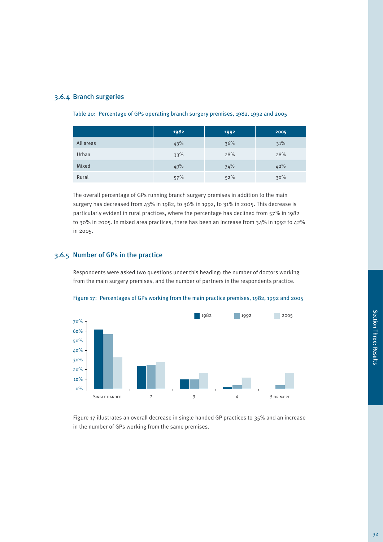|           | 1982 | 1992 | 2005 |
|-----------|------|------|------|
| All areas | 43%  | 36%  | 31%  |
| Urban     | 33%  | 28%  | 28%  |
| Mixed     | 49%  | 34%  | 42%  |
| Rural     | 57%  | 52%  | 30%  |

Table 20: Percentage of GPs operating branch surgery premises, 1982, 1992 and 2005

The overall percentage of GPs running branch surgery premises in addition to the main surgery has decreased from 43% in 1982, to 36% in 1992, to 31% in 2005. This decrease is particularly evident in rural practices, where the percentage has declined from 57% in 1982 to 30% in 2005. In mixed area practices, there has been an increase from 34% in 1992 to 42% in 2005.

#### 3.6.5 Number of GPs in the practice

Respondents were asked two questions under this heading: the number of doctors working from the main surgery premises, and the number of partners in the respondents practice.





Figure 17 illustrates an overall decrease in single handed GP practices to 35% and an increase in the number of GPs working from the same premises.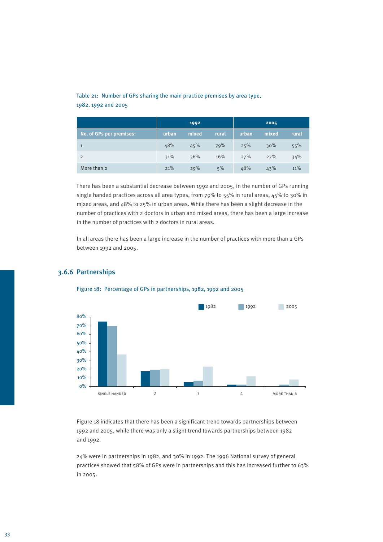#### Table 21: Number of GPs sharing the main practice premises by area type, 1982, 1992 and 2005

|                          |       | 1992  |       |       | 2005  |       |
|--------------------------|-------|-------|-------|-------|-------|-------|
| No. of GPs per premises: | urban | mixed | rural | urban | mixed | rural |
| $\mathbf{1}$             | 48%   | 45%   | 79%   | 25%   | 30%   | 55%   |
| $\overline{2}$           | 31%   | 36%   | 16%   | 27%   | 27%   | 34%   |
| More than 2              | 21%   | 29%   | 5%    | 48%   | 43%   | 11%   |

There has been a substantial decrease between 1992 and 2005, in the number of GPs running single handed practices across all area types, from 79% to 55% in rural areas, 45% to 30% in mixed areas, and 48% to 25% in urban areas. While there has been a slight decrease in the number of practices with 2 doctors in urban and mixed areas, there has been a large increase in the number of practices with 2 doctors in rural areas.

In all areas there has been a large increase in the number of practices with more than 2 GPs between 1992 and 2005.



#### 3.6.6 Partnerships

Figure 18: Percentage of GPs in partnerships, 1982, 1992 and 2005

Figure 18 indicates that there has been a significant trend towards partnerships between 1992 and 2005, while there was only a slight trend towards partnerships between 1982 and 1992.

24% were in partnerships in 1982, and 30% in 1992. The 1996 National survey of general practice4 showed that 58% of GPs were in partnerships and this has increased further to 63% in 2005.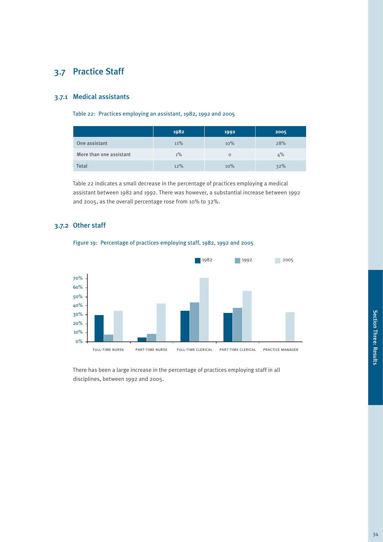# 3.7 Practice Staff

#### 3.7.1 Medical assistants

Table 22: Practices employing an assistant, 1982, 1992 and 2005

|                         | 1982  | 1992 | 2005 |
|-------------------------|-------|------|------|
| One assistant           | 11%   | 10%  | 28%  |
| More than one assistant | $1\%$ | O    | 4%   |
| Total                   | 12%   | 10%  | 32%  |

Table 22 indicates a small decrease in the percentage of practices employing a medical assistant between 1982 and 1992. There was however, a substantial increase between 1992 and 2005, as the overall percentage rose from 10% to 32%.

### 3.7.2 Other staff



Figure 19: Percentage of practices employing staff, 1982, 1992 and 2005

There has been a large increase in the percentage of practices employing staff in all disciplines, between 1992 and 2005.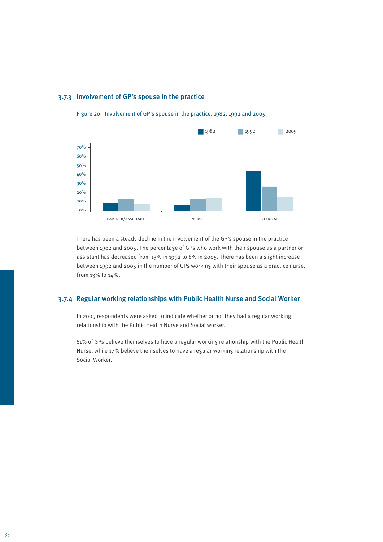#### 3.7.3 Involvement of GP's spouse in the practice



Figure 20: Involvement of GP's spouse in the practice, 1982, 1992 and 2005

There has been a steady decline in the involvement of the GP's spouse in the practice between 1982 and 2005. The percentage of GPs who work with their spouse as a partner or assistant has decreased from 13% in 1992 to 8% in 2005. There has been a slight increase between 1992 and 2005 in the number of GPs working with their spouse as a practice nurse, from 13% to 14%.

#### 3.7.4 Regular working relationships with Public Health Nurse and Social Worker

In 2005 respondents were asked to indicate whether or not they had a regular working relationship with the Public Health Nurse and Social worker.

61% of GPs believe themselves to have a regular working relationship with the Public Health Nurse, while 17% believe themselves to have a regular working relationship with the Social Worker.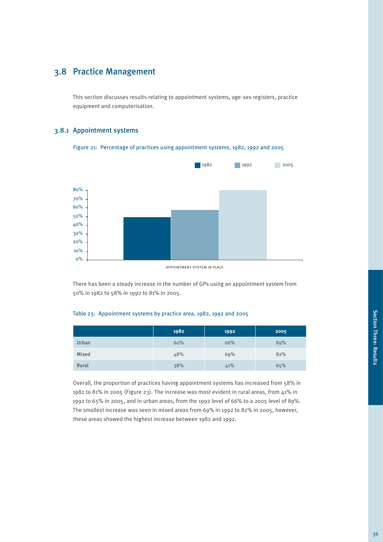# 3.8.1 Appointment systems

3.8 Practice Management

equipment and computerisation.

Figure 21: Percentage of practices using appointment systems, 1982, 1992 and 2005

This section discusses results relating to appointment systems, age-sex registers, practice



appointment system in place

There has been a steady increase in the number of GPs using an appointment system from 50% in 1982 to 58% in 1992 to 81% in 2005.

#### Table 23: Appointment systems by practice area, 1982, 1992 and 2005

|       | 1982 | 1992 | 2005 |
|-------|------|------|------|
| Urban | 60%  | 66%  | 89%  |
| Mixed | 48%  | 69%  | 82%  |
| Rural | 38%  | 41%  | 65%  |

Overall, the proportion of practices having appointment systems has increased from 58% in 1982 to 81% in 2005 (Figure 23). The increase was most evident in rural areas, from 41% in 1992 to 65% in 2005, and in urban areas, from the 1992 level of 66% to a 2005 level of 89%. The smallest increase was seen in mixed areas from 69% in 1992 to 82% in 2005, however, these areas showed the highest increase between 1982 and 1992.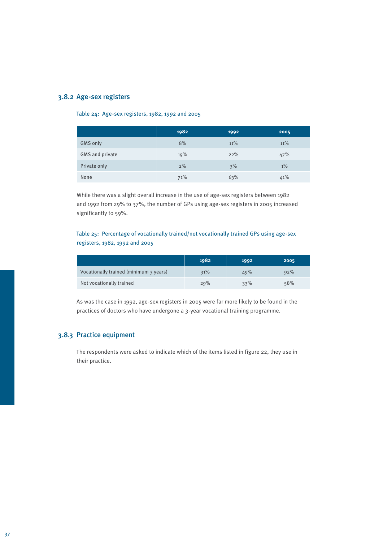#### 3.8.2 Age-sex registers

#### Table 24: Age-sex registers, 1982, 1992 and 2005

|                 | 1982 | 1992 | 2005  |
|-----------------|------|------|-------|
| <b>GMS only</b> | 8%   | 11%  | 11%   |
| GMS and private | 19%  | 22%  | 47%   |
| Private only    | 2%   | 3%   | $1\%$ |
| None            | 71%  | 63%  | 41%   |

While there was a slight overall increase in the use of age-sex registers between 1982 and 1992 from 29% to 37%, the number of GPs using age-sex registers in 2005 increased significantly to 59%.

#### Table 25: Percentage of vocationally trained/not vocationally trained GPs using age-sex registers, 1982, 1992 and 2005

|                                        | 1982 | 1992 | 2005 |
|----------------------------------------|------|------|------|
| Vocationally trained (minimum 3 years) | 31%  | 49%  | 92%  |
| Not vocationally trained               | 29%  | 33%  | 58%  |

As was the case in 1992, age-sex registers in 2005 were far more likely to be found in the practices of doctors who have undergone a 3-year vocational training programme.

#### 3.8.3 Practice equipment

The respondents were asked to indicate which of the items listed in figure 22, they use in their practice.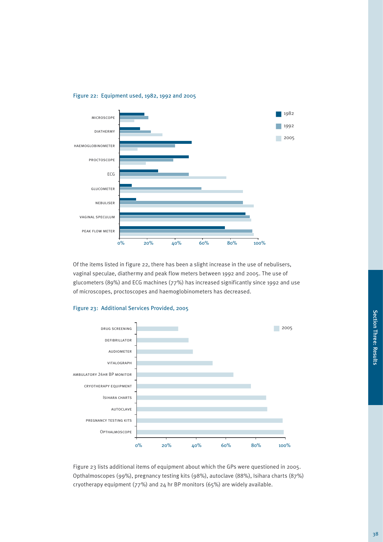

#### Figure 22: Equipment used, 1982, 1992 and 2005

Of the items listed in figure 22, there has been a slight increase in the use of nebulisers, vaginal speculae, diathermy and peak flow meters between 1992 and 2005. The use of glucometers (89%) and ECG machines (77%) has increased significantly since 1992 and use of microscopes, proctoscopes and haemoglobinometers has decreased.



#### Figure 23: Additional Services Provided, 2005

Figure 23 lists additional items of equipment about which the GPs were questioned in 2005. Opthalmoscopes (99%), pregnancy testing kits (98%), autoclave (88%), Isihara charts (87%) cryotherapy equipment (77%) and 24 hr BP monitors (65%) are widely available.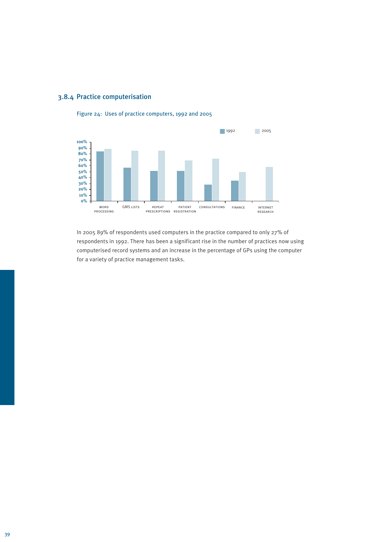



Figure 24: Uses of practice computers, 1992 and 2005

In 2005 89% of respondents used computers in the practice compared to only 27% of respondents in 1992. There has been a significant rise in the number of practices now using computerised record systems and an increase in the percentage of GPs using the computer for a variety of practice management tasks.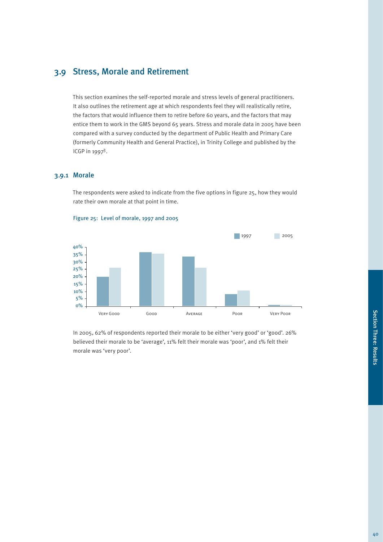## 3.9 Stress, Morale and Retirement

This section examines the self-reported morale and stress levels of general practitioners. It also outlines the retirement age at which respondents feel they will realistically retire, the factors that would influence them to retire before 60 years, and the factors that may entice them to work in the GMS beyond 65 years. Stress and morale data in 2005 have been compared with a survey conducted by the department of Public Health and Primary Care (formerly Community Health and General Practice), in Trinity College and published by the ICGP in 19973.

#### 3.9.1 Morale

The respondents were asked to indicate from the five options in figure 25, how they would rate their own morale at that point in time.



Figure 25: Level of morale, 1997 and 2005

In 2005, 62% of respondents reported their morale to be either 'very good' or 'good'. 26% believed their morale to be 'average', 11% felt their morale was 'poor', and 1% felt their morale was 'very poor'.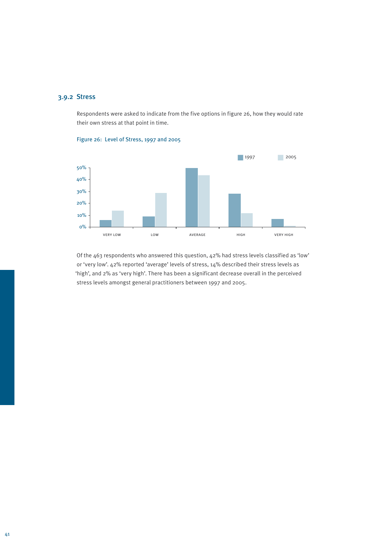## 3.9.2 Stress

Respondents were asked to indicate from the five options in figure 26, how they would rate their own stress at that point in time.



Figure 26: Level of Stress, 1997 and 2005

Of the 463 respondents who answered this question, 42% had stress levels classified as 'low' or 'very low'. 42% reported 'average' levels of stress, 14% described their stress levels as 'high', and 2% as 'very high'. There has been a significant decrease overall in the perceived stress levels amongst general practitioners between 1997 and 2005.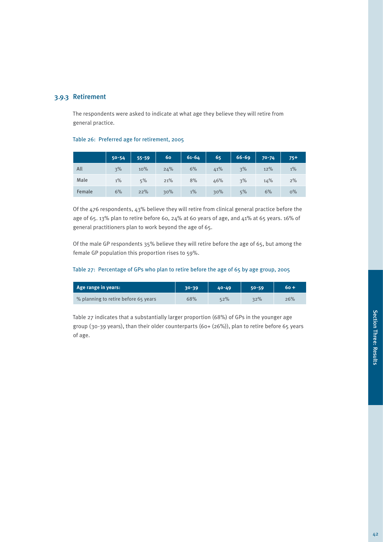## 3.9.3 Retirement

The respondents were asked to indicate at what age they believe they will retire from general practice.

#### Table 26: Preferred age for retirement, 2005

|        | $50 - 54$ | $55 - 59$ | 60  | $61 - 64$ | 65  | $66 - 69$ | $70 - 74$ | $75+$ |
|--------|-----------|-----------|-----|-----------|-----|-----------|-----------|-------|
| All    | 3%        | 10%       | 24% | 6%        | 41% | 3%        | 12%       | $1\%$ |
| Male   | $1\%$     | 5%        | 21% | 8%        | 46% | 3%        | 14%       | 2%    |
| Female | 6%        | 22%       | 30% | $1\%$     | 30% | 5%        | 6%        | $0\%$ |

Of the 476 respondents, 43% believe they will retire from clinical general practice before the age of 65. 13% plan to retire before 60, 24% at 60 years of age, and 41% at 65 years. 16% of general practitioners plan to work beyond the age of 65.

Of the male GP respondents 35% believe they will retire before the age of 65, but among the female GP population this proportion rises to 59%.

#### Table 27: Percentage of GPs who plan to retire before the age of 65 by age group, 2005

| Age range in years:                  | 30-39 | $40 - 49$ | 50-59 | 60 + |
|--------------------------------------|-------|-----------|-------|------|
| % planning to retire before 65 years | 68%   | 52%       | 32%   | 26%  |

Table 27 indicates that a substantially larger proportion (68%) of GPs in the younger age group (30-39 years), than their older counterparts (60+ (26%)), plan to retire before 65 years of age.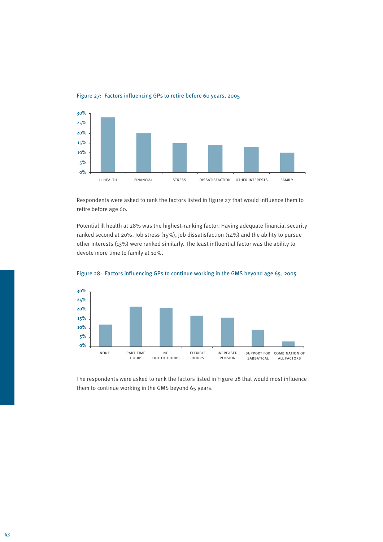

Figure 27: Factors influencing GPs to retire before 60 years, 2005

Respondents were asked to rank the factors listed in figure 27 that would influence them to retire before age 60.

Potential ill health at 28% was the highest-ranking factor. Having adequate financial security ranked second at 20%. Job stress (15%), job dissatisfaction (14%) and the ability to pursue other interests (13%) were ranked similarly. The least influential factor was the ability to devote more time to family at 10%.





The respondents were asked to rank the factors listed in Figure 28 that would most influence them to continue working in the GMS beyond 65 years.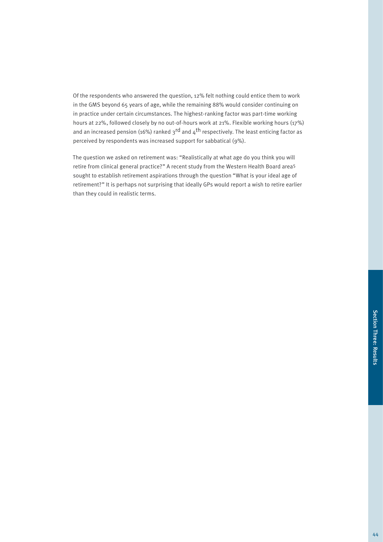Of the respondents who answered the question, 12% felt nothing could entice them to work in the GMS beyond 65 years of age, while the remaining 88% would consider continuing on in practice under certain circumstances. The highest-ranking factor was part-time working hours at 22%, followed closely by no out-of-hours work at 21%. Flexible working hours (17%) and an increased pension (16%) ranked  $3^{rd}$  and  $4^{th}$  respectively. The least enticing factor as perceived by respondents was increased support for sabbatical (9%).

The question we asked on retirement was: "Realistically at what age do you think you will retire from clinical general practice?" A recent study from the Western Health Board area5 sought to establish retirement aspirations through the question "What is your ideal age of retirement?" It is perhaps not surprising that ideally GPs would report a wish to retire earlier than they could in realistic terms.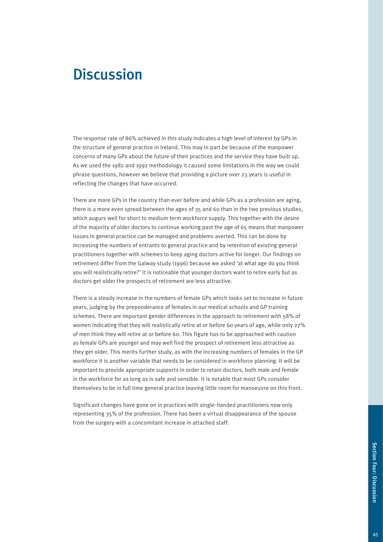# **Discussion**

The response rate of 86% achieved in this study indicates a high level of interest by GPs in the structure of general practice in Ireland. This may in part be because of the manpower concerns of many GPs about the future of their practices and the service they have built up. As we used the 1982 and 1992 methodology it caused some limitations in the way we could phrase questions, however we believe that providing a picture over 23 years is useful in reflecting the changes that have occurred.

There are more GPs in the country than ever before and while GPs as a profession are aging, there is a more even spread between the ages of 35 and 60 than in the two previous studies, which augurs well for short to medium term workforce supply. This together with the desire of the majority of older doctors to continue working past the age of 65 means that manpower issues in general practice can be managed and problems averted. This can be done by increasing the numbers of entrants to general practice and by retention of existing general practitioners together with schemes to keep aging doctors active for longer. Our findings on retirement differ from the Galway study (1996) because we asked 'at what age do you think you will realistically retire?' It is noticeable that younger doctors want to retire early but as doctors get older the prospects of retirement are less attractive.

There is a steady increase in the numbers of female GPs which looks set to increase in future years, judging by the preponderance of females in our medical schools and GP training schemes. There are important gender differences in the approach to retirement with 58% of women indicating that they will realistically retire at or before 60 years of age, while only 27% of men think they will retire at or before 60. This figure has to be approached with caution as female GPs are younger and may well find the prospect of retirement less attractive as they get older. This merits further study, as with the increasing numbers of females in the GP workforce it is another variable that needs to be considered in workforce planning. It will be important to provide appropriate supports in order to retain doctors, both male and female in the workforce for as long as is safe and sensible. It is notable that most GPs consider themselves to be in full time general practice leaving little room for manoeuvre on this front.

Significant changes have gone on in practices with single-handed practitioners now only representing 35% of the profession. There has been a virtual disappearance of the spouse from the surgery with a concomitant increase in attached staff.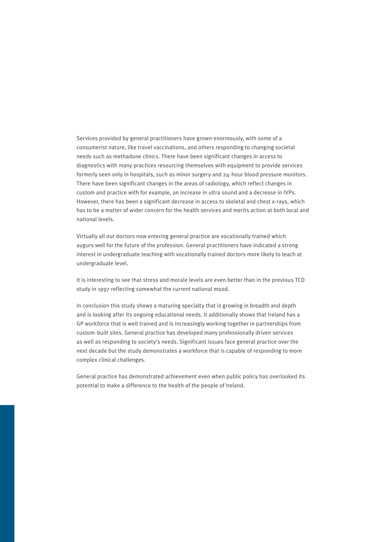Services provided by general practitioners have grown enormously, with some of a consumerist nature, like travel vaccinations, and others responding to changing societal needs such as methadone clinics. There have been significant changes in access to diagnostics with many practices resourcing themselves with equipment to provide services formerly seen only in hospitals, such as minor surgery and 24-hour blood pressure monitors. There have been significant changes in the areas of radiology, which reflect changes in custom and practice with for example, an increase in ultra sound and a decrease in IVPs. However, there has been a significant decrease in access to skeletal and chest x-rays, which has to be a matter of wider concern for the health services and merits action at both local and national levels.

Virtually all our doctors now entering general practice are vocationally trained which augurs well for the future of the profession. General practitioners have indicated a strong interest in undergraduate teaching with vocationally trained doctors more likely to teach at undergraduate level.

It is interesting to see that stress and morale levels are even better than in the previous TCD study in 1997 reflecting somewhat the current national mood.

In conclusion this study shows a maturing specialty that is growing in breadth and depth and is looking after its ongoing educational needs. It additionally shows that Ireland has a GP workforce that is well trained and is increasingly working together in partnerships from custom-built sites. General practice has developed many professionally driven services as well as responding to society's needs. Significant issues face general practice over the next decade but the study demonstrates a workforce that is capable of responding to more complex clinical challenges.

General practice has demonstrated achievement even when public policy has overlooked its potential to make a difference to the health of the people of Ireland.

46 47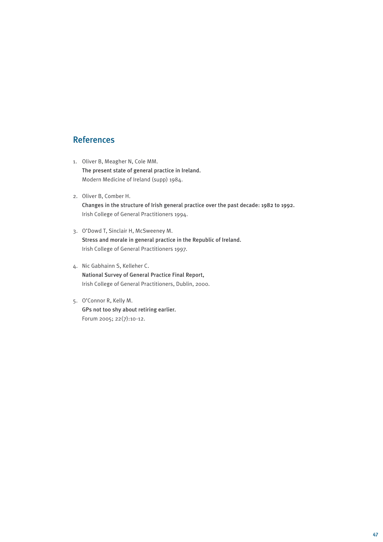## References

- 1. Oliver B, Meagher N, Cole MM. The present state of general practice in Ireland. Modern Medicine of Ireland (supp) 1984.
- 2. Oliver B, Comber H. Changes in the structure of Irish general practice over the past decade: 1982 to 1992. Irish College of General Practitioners 1994.
- 3. O'Dowd T, Sinclair H, McSweeney M. Stress and morale in general practice in the Republic of Ireland. Irish College of General Practitioners 1997.
- 4. Nic Gabhainn S, Kelleher C. National Survey of General Practice Final Report, Irish College of General Practitioners, Dublin, 2000.
- 5. O'Connor R, Kelly M. GPs not too shy about retiring earlier. Forum 2005; 22(7):10-12.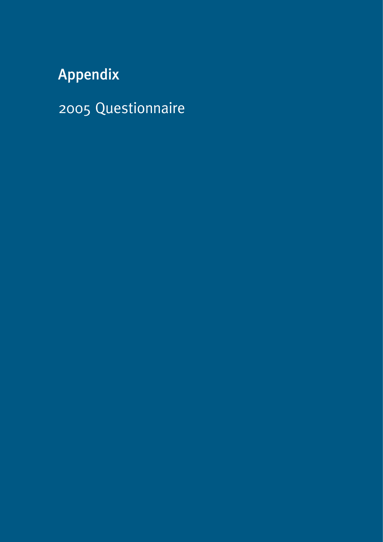# Appendix

2005 Questionnaire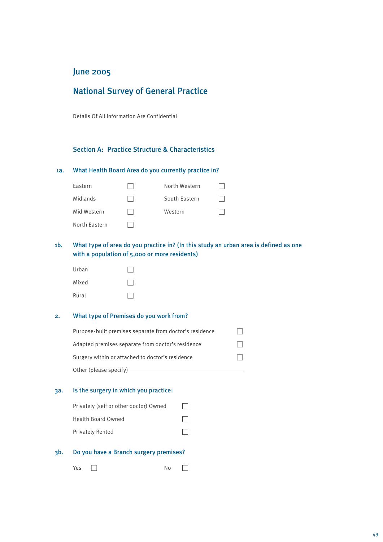## June 2005

## National Survey of General Practice

Details Of All Information Are Confidential

#### Section A: Practice Structure & Characteristics

#### 1a. What Health Board Area do you currently practice in?

| Eastern       | North Western |  |
|---------------|---------------|--|
| Midlands      | South Eastern |  |
| Mid Western   | Western       |  |
| North Eastern |               |  |

### 1b. What type of area do you practice in? (In this study an urban area is defined as one with a population of 5,000 or more residents)

| Urban |  |
|-------|--|
| Mixed |  |
| Rural |  |

#### 2. What type of Premises do you work from?

| Purpose-built premises separate from doctor's residence |  |
|---------------------------------------------------------|--|
| Adapted premises separate from doctor's residence       |  |
| Surgery within or attached to doctor's residence        |  |
| Other (please specify) $\equiv$                         |  |

#### 3a. Is the surgery in which you practice:

| Privately (self or other doctor) Owned | $\perp$ |
|----------------------------------------|---------|
| Health Board Owned                     | $\Box$  |
| <b>Privately Rented</b>                | $\perp$ |

#### 3b. Do you have a Branch surgery premises?

Yes c No c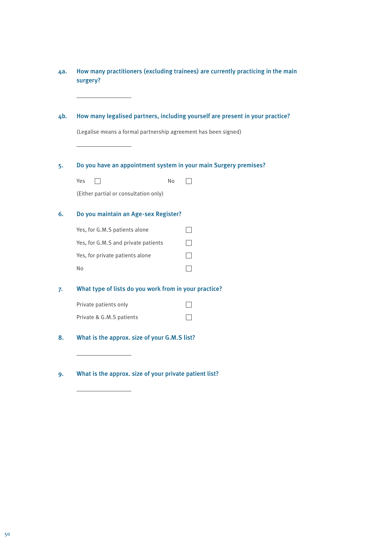| 4а. | surgery?                                                         |    | How many practitioners (excluding trainees) are currently practicing in the main |
|-----|------------------------------------------------------------------|----|----------------------------------------------------------------------------------|
| 4b. |                                                                  |    | How many legalised partners, including yourself are present in your practice?    |
|     | (Legalise means a formal partnership agreement has been signed)  |    |                                                                                  |
| 5.  | Do you have an appointment system in your main Surgery premises? |    |                                                                                  |
|     | Yes                                                              | No |                                                                                  |
|     | (Either partial or consultation only)                            |    |                                                                                  |
| 6.  | Do you maintain an Age-sex Register?                             |    |                                                                                  |
|     | Yes, for G.M.S patients alone                                    |    |                                                                                  |
|     | Yes, for G.M.S and private patients                              |    |                                                                                  |
|     | Yes, for private patients alone                                  |    |                                                                                  |
|     | No                                                               |    |                                                                                  |
| 7.  | What type of lists do you work from in your practice?            |    |                                                                                  |
|     | Private patients only                                            |    |                                                                                  |
|     | Private & G.M.S patients                                         |    |                                                                                  |
| 8.  | What is the approx. size of your G.M.S list?                     |    |                                                                                  |

9. What is the approx. size of your private patient list?

 $\overline{a}$ 

 $\overline{a}$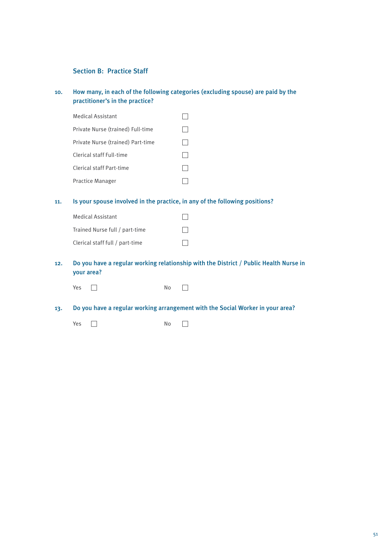#### Section B: Practice Staff

#### 10. How many, in each of the following categories (excluding spouse) are paid by the practitioner's in the practice?

| <b>Medical Assistant</b>          |  |
|-----------------------------------|--|
| Private Nurse (trained) Full-time |  |
| Private Nurse (trained) Part-time |  |
| Clerical staff Full-time          |  |
| Clerical staff Part-time          |  |
| <b>Practice Manager</b>           |  |

#### 11. Is your spouse involved in the practice, in any of the following positions?

| <b>Medical Assistant</b>        |         |
|---------------------------------|---------|
| Trained Nurse full / part-time  | $\perp$ |
| Clerical staff full / part-time | $\perp$ |

#### 12. Do you have a regular working relationship with the District / Public Health Nurse in your area?

Yes c No c

13. Do you have a regular working arrangement with the Social Worker in your area?

Yes c No c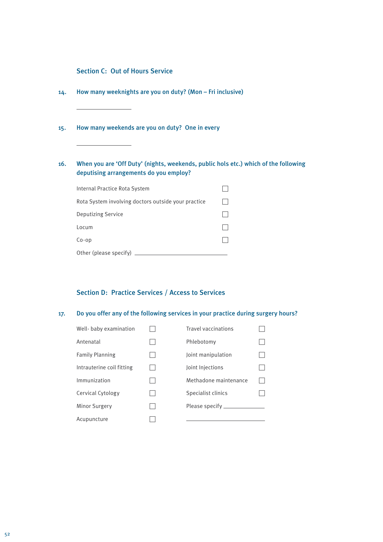#### Section C: Out of Hours Service

- 14. How many weeknights are you on duty? (Mon Fri inclusive)
- 15. How many weekends are you on duty? One in every

### 16. When you are 'Off Duty' (nights, weekends, public hols etc.) which of the following deputising arrangements do you employ?

| Internal Practice Rota System                       |  |
|-----------------------------------------------------|--|
| Rota System involving doctors outside your practice |  |
| <b>Deputizing Service</b>                           |  |
| Locum                                               |  |
| $Co$ -op                                            |  |
| Other (please specify)                              |  |

### Section D: Practice Services / Access to Services

#### 17. Do you offer any of the following services in your practice during surgery hours?

| Well-baby examination     | <b>Travel vaccinations</b> |  |
|---------------------------|----------------------------|--|
| Antenatal                 | Phlebotomy                 |  |
| <b>Family Planning</b>    | Joint manipulation         |  |
| Intrauterine coil fitting | Joint Injections           |  |
| Immunization              | Methadone maintenance      |  |
| Cervical Cytology         | Specialist clinics         |  |
| <b>Minor Surgery</b>      |                            |  |
| Acupuncture               |                            |  |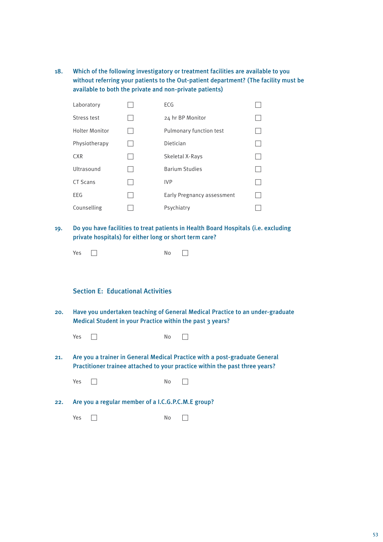18. Which of the following investigatory or treatment facilities are available to you without referring your patients to the Out-patient department? (The facility must be available to both the private and non-private patients)

| Laboratory            | ECG                        |  |
|-----------------------|----------------------------|--|
| Stress test           | 24 hr BP Monitor           |  |
| <b>Holter Monitor</b> | Pulmonary function test    |  |
| Physiotherapy         | Dietician                  |  |
| <b>CXR</b>            | Skeletal X-Rays            |  |
| Ultrasound            | <b>Barium Studies</b>      |  |
| CT Scans              | <b>IVP</b>                 |  |
| <b>EEG</b>            | Early Pregnancy assessment |  |
| Counselling           | Psychiatry                 |  |

19. Do you have facilities to treat patients in Health Board Hospitals (i.e. excluding private hospitals) for either long or short term care?

| Yes | No<br>__ |  |
|-----|----------|--|
|-----|----------|--|

#### Section E: Educational Activities

- 20. Have you undertaken teaching of General Medical Practice to an under-graduate Medical Student in your Practice within the past 3 years?
	- Yes c No c
- 21. Are you a trainer in General Medical Practice with a post-graduate General Practitioner trainee attached to your practice within the past three years?

Yes c No c

22. Are you a regular member of a I.C.G.P.C.M.E group?

 $Yes \t\t\t No \t\t\t No$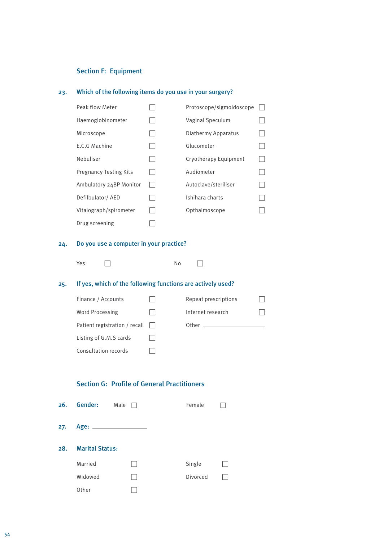#### Section F: Equipment

#### 23. Which of the following items do you use in your surgery?

| Peak flow Meter               | Protoscope/sigmoidoscope |  |
|-------------------------------|--------------------------|--|
| Haemoglobinometer             | Vaginal Speculum         |  |
| Microscope                    | Diathermy Apparatus      |  |
| E.C.G Machine                 | Glucometer               |  |
| Nebuliser                     | Cryotherapy Equipment    |  |
| <b>Pregnancy Testing Kits</b> | Audiometer               |  |
| Ambulatory 24BP Monitor       | Autoclave/steriliser     |  |
| Defilbulator/ AED             | Ishihara charts          |  |
| Vitalograph/spirometer        | Opthalmoscope            |  |
| Drug screening                |                          |  |

#### 24. Do you use a computer in your practice?

| Yes | No                     |  |
|-----|------------------------|--|
|     | $\cdot$ $\cdot$ $\sim$ |  |

## 25. If yes, which of the following functions are actively used?

| Finance / Accounts                   | Repeat prescriptions                                                                                           |  |
|--------------------------------------|----------------------------------------------------------------------------------------------------------------|--|
| Word Processing                      | Internet research                                                                                              |  |
| Patient registration / recall $\Box$ | Other the control of the control of the control of the control of the control of the control of the control of |  |
| Listing of G.M.S cards               |                                                                                                                |  |
| Consultation records                 |                                                                                                                |  |

#### Section G: Profile of General Practitioners

| 26. | Gender:                | Male | Female   |  |
|-----|------------------------|------|----------|--|
| 27. |                        |      |          |  |
| 28. | <b>Marital Status:</b> |      |          |  |
|     | Married                |      | Single   |  |
|     | Widowed                |      | Divorced |  |
|     | Other                  |      |          |  |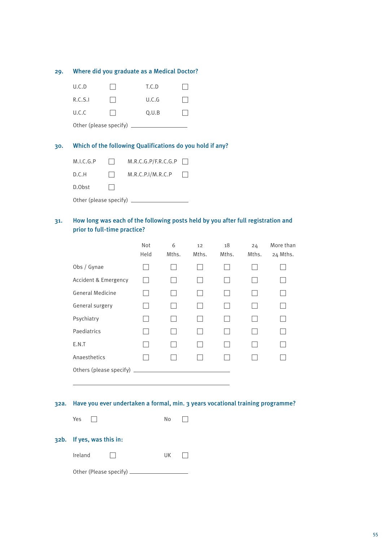| 29. | Where did you graduate as a Medical Doctor? |  |                                                 |  |  |
|-----|---------------------------------------------|--|-------------------------------------------------|--|--|
|     | U.C.D                                       |  | T.C.D                                           |  |  |
|     | R.C.S.I                                     |  | U.C.G                                           |  |  |
|     | U.C.C                                       |  | Q.U.B                                           |  |  |
|     | Other (please specify) $\equiv$             |  |                                                 |  |  |
| 30. |                                             |  | Which of the following Qualifications do you ho |  |  |

## bld if any?

| M.I.C.G.P                       | $\Box$ | $M.R.C.G.P/F.R.C.G.P \Box$ |        |
|---------------------------------|--------|----------------------------|--------|
| D.C.H                           | $\Box$ | M.R.C.P. I/M.R.C.P         | $\Box$ |
| D.Obst                          |        |                            |        |
| Other (please specify) $\equiv$ |        |                            |        |

#### 31. How long was each of the following posts held by you after full registration and prior to full-time practice?

|                         | Not<br>Held | 6<br>Mths. | 12<br>Mths. | 18<br>Mths. | 24<br>Mths. | More than<br>24 Mths. |
|-------------------------|-------------|------------|-------------|-------------|-------------|-----------------------|
| Obs / Gynae             |             |            |             |             |             |                       |
| Accident & Emergency    |             |            |             |             |             |                       |
| <b>General Medicine</b> |             |            |             |             |             |                       |
| General surgery         |             |            |             |             |             |                       |
| Psychiatry              |             |            |             |             |             |                       |
| Paediatrics             |             |            |             |             |             |                       |
| E.N.T                   |             |            |             |             |             |                       |
| Anaesthetics            |             |            |             |             |             |                       |
| Others (please specify) |             |            |             |             |             |                       |

#### 32a. Have you ever undertaken a formal, min. 3 years vocational training programme?

| Yes | No | $\mathbf{L}$ |
|-----|----|--------------|
|-----|----|--------------|

#### 32b. If yes, was this in:

| Ireland |  | UK |  |
|---------|--|----|--|
|---------|--|----|--|

Other (Please specify)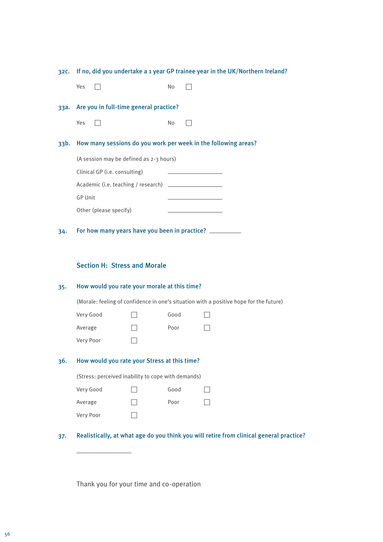| 32C. | If no, did you undertake a 1 year GP trainee year in the UK/Northern Ireland?                      |  |      |                                                                                         |  |  |  |
|------|----------------------------------------------------------------------------------------------------|--|------|-----------------------------------------------------------------------------------------|--|--|--|
|      | Yes                                                                                                |  | No   |                                                                                         |  |  |  |
| 33a. | Are you in full-time general practice?                                                             |  |      |                                                                                         |  |  |  |
|      | Yes                                                                                                |  | No   |                                                                                         |  |  |  |
| 33b. | How many sessions do you work per week in the following areas?                                     |  |      |                                                                                         |  |  |  |
|      | (A session may be defined as 2-3 hours)                                                            |  |      |                                                                                         |  |  |  |
|      | Clinical GP (i.e. consulting)                                                                      |  |      |                                                                                         |  |  |  |
|      |                                                                                                    |  |      |                                                                                         |  |  |  |
|      | <b>GP Unit</b>                                                                                     |  |      |                                                                                         |  |  |  |
|      | Other (please specify)                                                                             |  |      |                                                                                         |  |  |  |
| 34.  | <b>Section H: Stress and Morale</b>                                                                |  |      | For how many years have you been in practice?                                           |  |  |  |
| 35.  | How would you rate your morale at this time?                                                       |  |      |                                                                                         |  |  |  |
|      | (Morale: feeling of confidence in one's situation with a positive hope for the future)             |  |      |                                                                                         |  |  |  |
|      | Very Good                                                                                          |  | Good |                                                                                         |  |  |  |
|      | Average                                                                                            |  | Poor |                                                                                         |  |  |  |
|      | Very Poor                                                                                          |  |      |                                                                                         |  |  |  |
| 36.  | How would you rate your Stress at this time?<br>(Stress: perceived inability to cope with demands) |  |      |                                                                                         |  |  |  |
|      |                                                                                                    |  |      |                                                                                         |  |  |  |
|      | Very Good                                                                                          |  | Good |                                                                                         |  |  |  |
|      | Average                                                                                            |  | Poor |                                                                                         |  |  |  |
|      | Very Poor                                                                                          |  |      |                                                                                         |  |  |  |
| 37.  |                                                                                                    |  |      | Realistically, at what age do you think you will retire from clinical general practice? |  |  |  |

Thank you for your time and co-operation